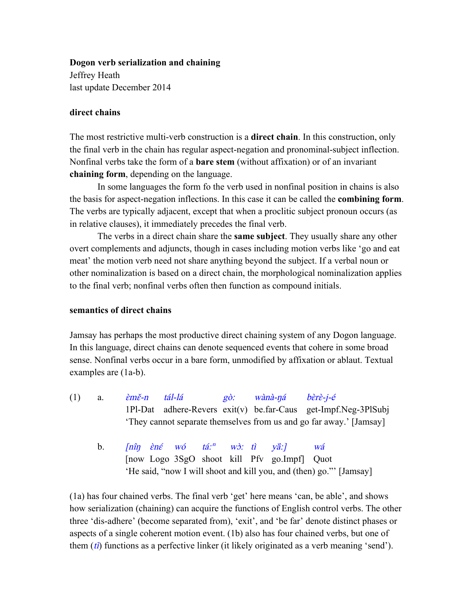#### **Dogon verb serialization and chaining**

Jeffrey Heath last update December 2014

## **direct chains**

The most restrictive multi-verb construction is a **direct chain**. In this construction, only the final verb in the chain has regular aspect-negation and pronominal-subject inflection. Nonfinal verbs take the form of a **bare stem** (without affixation) or of an invariant **chaining form**, depending on the language.

In some languages the form fo the verb used in nonfinal position in chains is also the basis for aspect-negation inflections. In this case it can be called the **combining form**. The verbs are typically adjacent, except that when a proclitic subject pronoun occurs (as in relative clauses), it immediately precedes the final verb.

The verbs in a direct chain share the **same subject**. They usually share any other overt complements and adjuncts, though in cases including motion verbs like 'go and eat meat' the motion verb need not share anything beyond the subject. If a verbal noun or other nominalization is based on a direct chain, the morphological nominalization applies to the final verb; nonfinal verbs often then function as compound initials.

## **semantics of direct chains**

Jamsay has perhaps the most productive direct chaining system of any Dogon language. In this language, direct chains can denote sequenced events that cohere in some broad sense. Nonfinal verbs occur in a bare form, unmodified by affixation or ablaut. Textual examples are (1a-b).

- (1) a.  $\hat{\varepsilon}m\check{\varepsilon}-n$  tál-lá  $g\hat{\rho}$ : wànà-ná bèrè-j-é 1Pl-Dat adhere-Revers exit(v) be.far-Caus get-Impf.Neg-3PlSubj 'They cannot separate themselves from us and go far away.' [Jamsay]
	- b.  $\lceil \hat{\text{n}} \hat{\text{n}} \rceil$   $\hat{\text{en}} \hat{\text{e}}$   $\tilde{\text{wo}}$   $\tilde{\text{ta}}$   $\tilde{\text{a}}$   $\tilde{\text{no}}$   $\tilde{\text{v}}$   $\tilde{\text{v}}$   $\tilde{\text{a}}$   $\tilde{\text{v}}$   $\tilde{\text{a}}$   $\tilde{\text{v}}$   $\tilde{\text{a}}$   $\tilde{\text{v}}$   $\tilde{\text{a}}$   $\tilde{\text{v}}$   $\tilde{\text{v}}$   $\tilde{\text{v}}$   $\tilde$ [now Logo 3SgO shoot kill Pfv go.Impf] Quot 'He said, "now I will shoot and kill you, and (then) go."' [Jamsay]

(1a) has four chained verbs. The final verb 'get' here means 'can, be able', and shows how serialization (chaining) can acquire the functions of English control verbs. The other three 'dis-adhere' (become separated from), 'exit', and 'be far' denote distinct phases or aspects of a single coherent motion event. (1b) also has four chained verbs, but one of them  $(ti)$  functions as a perfective linker (it likely originated as a verb meaning 'send').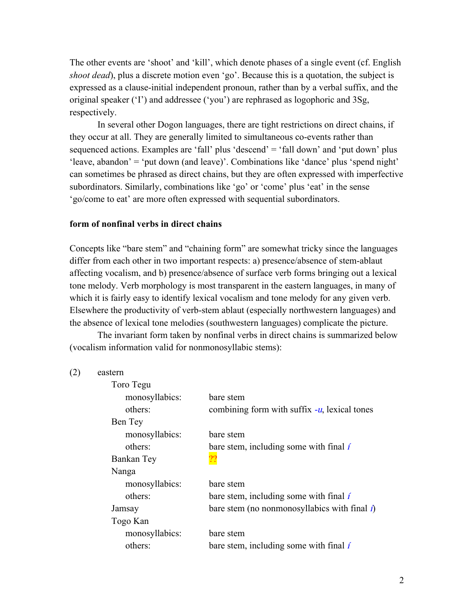The other events are 'shoot' and 'kill', which denote phases of a single event (cf. English *shoot dead*), plus a discrete motion even 'go'. Because this is a quotation, the subject is expressed as a clause-initial independent pronoun, rather than by a verbal suffix, and the original speaker ('I') and addressee ('you') are rephrased as logophoric and 3Sg, respectively.

In several other Dogon languages, there are tight restrictions on direct chains, if they occur at all. They are generally limited to simultaneous co-events rather than sequenced actions. Examples are 'fall' plus 'descend' = 'fall down' and 'put down' plus 'leave, abandon' = 'put down (and leave)'. Combinations like 'dance' plus 'spend night' can sometimes be phrased as direct chains, but they are often expressed with imperfective subordinators. Similarly, combinations like 'go' or 'come' plus 'eat' in the sense 'go/come to eat' are more often expressed with sequential subordinators.

#### **form of nonfinal verbs in direct chains**

Concepts like "bare stem" and "chaining form" are somewhat tricky since the languages differ from each other in two important respects: a) presence/absence of stem-ablaut affecting vocalism, and b) presence/absence of surface verb forms bringing out a lexical tone melody. Verb morphology is most transparent in the eastern languages, in many of which it is fairly easy to identify lexical vocalism and tone melody for any given verb. Elsewhere the productivity of verb-stem ablaut (especially northwestern languages) and the absence of lexical tone melodies (southwestern languages) complicate the picture.

The invariant form taken by nonfinal verbs in direct chains is summarized below (vocalism information valid for nonmonosyllabic stems):

| (2) | eastern |
|-----|---------|
|-----|---------|

| bare stem                                                       |
|-----------------------------------------------------------------|
| combining form with suffix $-u$ , lexical tones                 |
|                                                                 |
| bare stem                                                       |
| bare stem, including some with final i                          |
|                                                                 |
|                                                                 |
| bare stem                                                       |
| bare stem, including some with final i                          |
| bare stem (no nonmonosyllabics with final $\hat{\mathbf{\i}}$ ) |
|                                                                 |
| bare stem                                                       |
| bare stem, including some with final i                          |
|                                                                 |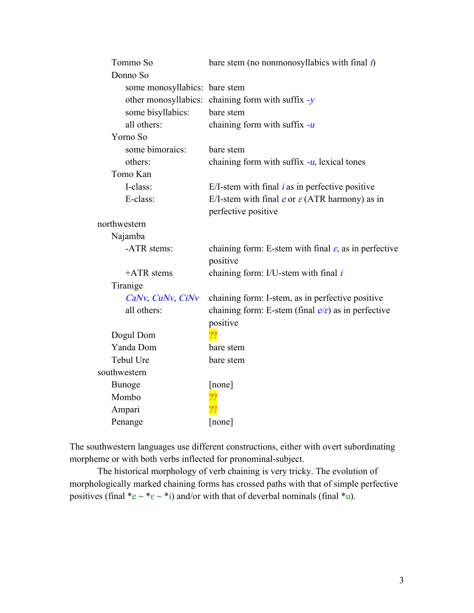| Tommo So                      | bare stem (no nonmonosyllabics with final $\hat{\mathbf{\i}}$ )               |
|-------------------------------|-------------------------------------------------------------------------------|
| Donno So                      |                                                                               |
| some monosyllabics: bare stem |                                                                               |
| other monosyllabics:          | chaining form with suffix $-y$                                                |
| some bisyllabics:             | bare stem                                                                     |
| all others:                   | chaining form with suffix $-u$                                                |
| Yorno So                      |                                                                               |
| some bimoraics:               | bare stem                                                                     |
| others:                       | chaining form with suffix $-u$ , lexical tones                                |
| Tomo Kan                      |                                                                               |
| I-class:                      | E/I-stem with final $i$ as in perfective positive                             |
| E-class:                      | E/I-stem with final e or $\varepsilon$ (ATR harmony) as in                    |
|                               | perfective positive                                                           |
| northwestern                  |                                                                               |
| Najamba                       |                                                                               |
| -ATR stems:                   | chaining form: E-stem with final $\varepsilon$ , as in perfective<br>positive |
| $+ATR$ stems                  | chaining form: I/U-stem with final $i$                                        |
| Tiranige                      |                                                                               |
| CaNv, CuNv, CiNv              | chaining form: I-stem, as in perfective positive                              |
| all others:                   | chaining form: E-stem (final $e/e$ ) as in perfective                         |
|                               | positive                                                                      |
| Dogul Dom                     |                                                                               |
| Yanda Dom                     | bare stem                                                                     |
| Tebul Ure                     | bare stem                                                                     |
| southwestern                  |                                                                               |
| <b>Bunoge</b>                 | [none]                                                                        |
| Mombo                         |                                                                               |
| Ampari                        |                                                                               |
| Penange                       | [none]                                                                        |

The southwestern languages use different constructions, either with overt subordinating morpheme or with both verbs inflected for pronominal-subject.

The historical morphology of verb chaining is very tricky. The evolution of morphologically marked chaining forms has crossed paths with that of simple perfective positives (final  $e^* \propto e^* \cdot i$ ) and/or with that of deverbal nominals (final  $e^*$ u).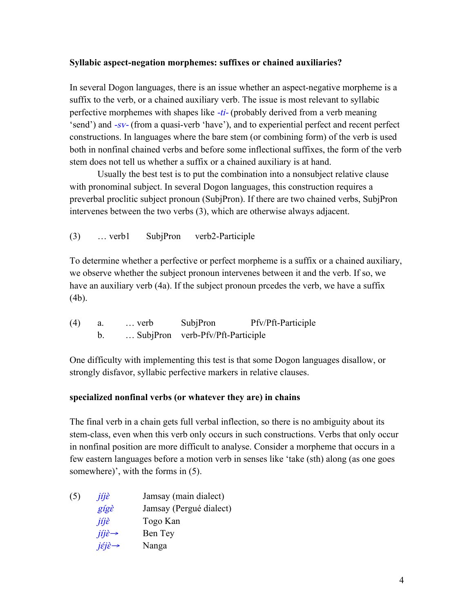# **Syllabic aspect-negation morphemes: suffixes or chained auxiliaries?**

In several Dogon languages, there is an issue whether an aspect-negative morpheme is a suffix to the verb, or a chained auxiliary verb. The issue is most relevant to syllabic perfective morphemes with shapes like -ti- (probably derived from a verb meaning 'send') and -sv- (from a quasi-verb 'have'), and to experiential perfect and recent perfect constructions. In languages where the bare stem (or combining form) of the verb is used both in nonfinal chained verbs and before some inflectional suffixes, the form of the verb stem does not tell us whether a suffix or a chained auxiliary is at hand.

Usually the best test is to put the combination into a nonsubject relative clause with pronominal subject. In several Dogon languages, this construction requires a preverbal proclitic subject pronoun (SubjPron). If there are two chained verbs, SubjPron intervenes between the two verbs (3), which are otherwise always adjacent.

(3) … verb1 SubjPron verb2-Participle

To determine whether a perfective or perfect morpheme is a suffix or a chained auxiliary, we observe whether the subject pronoun intervenes between it and the verb. If so, we have an auxiliary verb (4a). If the subject pronoun prcedes the verb, we have a suffix (4b).

| (4) | $\ldots$ verb | SubjPron                         | Pfv/Pft-Participle |
|-----|---------------|----------------------------------|--------------------|
|     |               | SubjPron verb-Pfv/Pft-Participle |                    |

One difficulty with implementing this test is that some Dogon languages disallow, or strongly disfavor, syllabic perfective markers in relative clauses.

# **specialized nonfinal verbs (or whatever they are) in chains**

The final verb in a chain gets full verbal inflection, so there is no ambiguity about its stem-class, even when this verb only occurs in such constructions. Verbs that only occur in nonfinal position are more difficult to analyse. Consider a morpheme that occurs in a few eastern languages before a motion verb in senses like 'take (sth) along (as one goes somewhere)', with the forms in (5).

| jíjè                                             | Jamsay (main dialect)   |
|--------------------------------------------------|-------------------------|
| gígè                                             | Jamsay (Pergué dialect) |
| jíjè                                             | Togo Kan                |
| $j\hat{i}j\hat{\varepsilon} \rightarrow$         | Ben Tey                 |
| $i\acute{\epsilon}i\grave{\epsilon} \rightarrow$ | Nanga                   |
|                                                  |                         |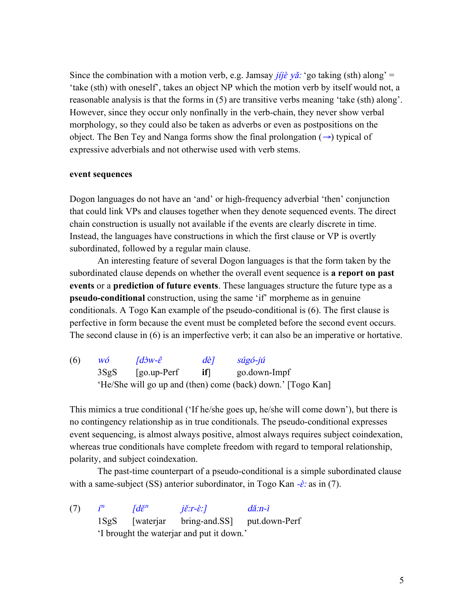Since the combination with a motion verb, e.g. Jamsay *jíjề yǎ:* 'go taking (sth) along' = 'take (sth) with oneself', takes an object NP which the motion verb by itself would not, a reasonable analysis is that the forms in (5) are transitive verbs meaning 'take (sth) along'. However, since they occur only nonfinally in the verb-chain, they never show verbal morphology, so they could also be taken as adverbs or even as postpositions on the object. The Ben Tey and Nanga forms show the final prolongation  $(\rightarrow)$  typical of expressive adverbials and not otherwise used with verb stems.

### **event sequences**

Dogon languages do not have an 'and' or high-frequency adverbial 'then' conjunction that could link VPs and clauses together when they denote sequenced events. The direct chain construction is usually not available if the events are clearly discrete in time. Instead, the languages have constructions in which the first clause or VP is overtly subordinated, followed by a regular main clause.

An interesting feature of several Dogon languages is that the form taken by the subordinated clause depends on whether the overall event sequence is **a report on past events** or a **prediction of future events**. These languages structure the future type as a **pseudo-conditional** construction, using the same 'if' morpheme as in genuine conditionals. A Togo Kan example of the pseudo-conditional is (6). The first clause is perfective in form because the event must be completed before the second event occurs. The second clause in (6) is an imperfective verb; it can also be an imperative or hortative.

| (6) | WÓ   | $\overline{d}$ $\partial W - \hat{\varepsilon}$ | dèl | $súgó-jií$                                                  |
|-----|------|-------------------------------------------------|-----|-------------------------------------------------------------|
|     | 3SgS | $ $ go.up-Perf                                  | ifl | go.down-Impf                                                |
|     |      |                                                 |     | 'He/She will go up and (then) come (back) down.' [Togo Kan] |

This mimics a true conditional ('If he/she goes up, he/she will come down'), but there is no contingency relationship as in true conditionals. The pseudo-conditional expresses event sequencing, is almost always positive, almost always requires subject coindexation, whereas true conditionals have complete freedom with regard to temporal relationship, polarity, and subject coindexation.

The past-time counterpart of a pseudo-conditional is a simple subordinated clause with a same-subject (SS) anterior subordinator, in Togo Kan  $-\hat{\epsilon}$ : as in (7).

(7)  $f^n$   $\left[ d\breve{\epsilon}^n \right]$   $i\breve{\epsilon}$ :  $r-\hat{\epsilon}$ :  $\frac{d\breve{\epsilon}}{n-i}$ 1SgS [waterjar bring-and.SS] put.down-Perf 'I brought the waterjar and put it down.'